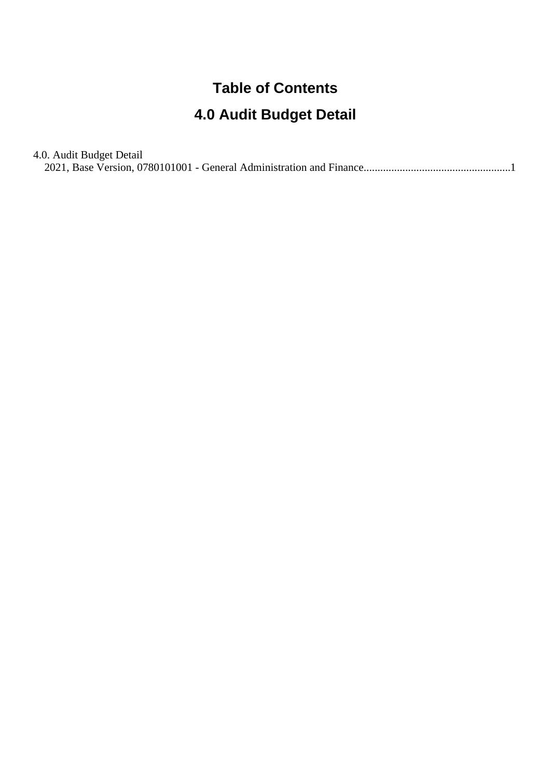## **Table of Contents**

## **4.0 Audit Budget Detail**

| 4.0. Audit Budget Detail |  |
|--------------------------|--|
|                          |  |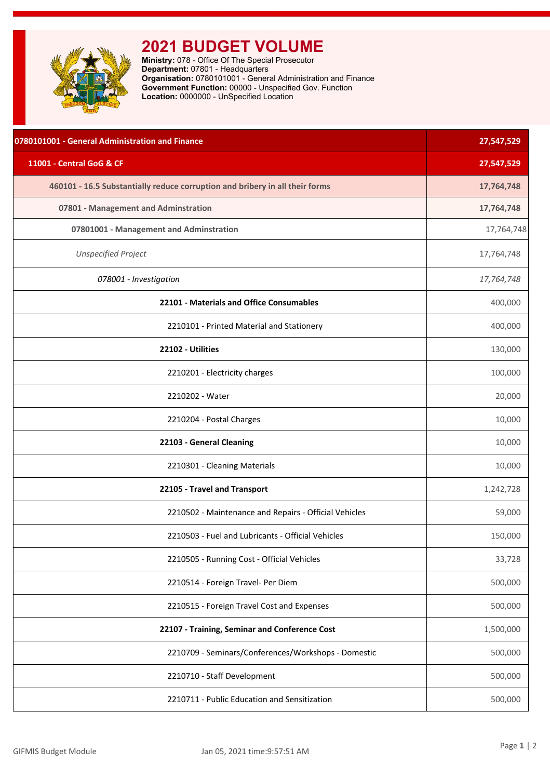<span id="page-1-0"></span>

## **2021 BUDGET VOLUME**

**Ministry:** 078 - Office Of The Special Prosecutor **Department:** 07801 - Headquarters **Organisation:** 0780101001 - General Administration and Finance **Government Function:** 00000 - Unspecified Gov. Function Location: 0000000 - UnSpecified Location

| 0780101001 - General Administration and Finance                              | 27,547,529 |
|------------------------------------------------------------------------------|------------|
| 11001 - Central GoG & CF                                                     | 27,547,529 |
| 460101 - 16.5 Substantially reduce corruption and bribery in all their forms | 17,764,748 |
| 07801 - Management and Adminstration                                         | 17,764,748 |
| 07801001 - Management and Adminstration                                      | 17,764,748 |
| <b>Unspecified Project</b>                                                   | 17,764,748 |
| 078001 - Investigation                                                       | 17,764,748 |
| 22101 - Materials and Office Consumables                                     | 400,000    |
| 2210101 - Printed Material and Stationery                                    | 400,000    |
| 22102 - Utilities                                                            | 130,000    |
| 2210201 - Electricity charges                                                | 100,000    |
| 2210202 - Water                                                              | 20,000     |
| 2210204 - Postal Charges                                                     | 10,000     |
| 22103 - General Cleaning                                                     | 10,000     |
| 2210301 - Cleaning Materials                                                 | 10,000     |
| 22105 - Travel and Transport                                                 | 1,242,728  |
| 2210502 - Maintenance and Repairs - Official Vehicles                        | 59,000     |
| 2210503 - Fuel and Lubricants - Official Vehicles                            | 150,000    |
| 2210505 - Running Cost - Official Vehicles                                   | 33,728     |
| 2210514 - Foreign Travel- Per Diem                                           | 500,000    |
| 2210515 - Foreign Travel Cost and Expenses                                   | 500,000    |
| 22107 - Training, Seminar and Conference Cost                                | 1,500,000  |
| 2210709 - Seminars/Conferences/Workshops - Domestic                          | 500,000    |
| 2210710 - Staff Development                                                  | 500,000    |
| 2210711 - Public Education and Sensitization                                 | 500,000    |